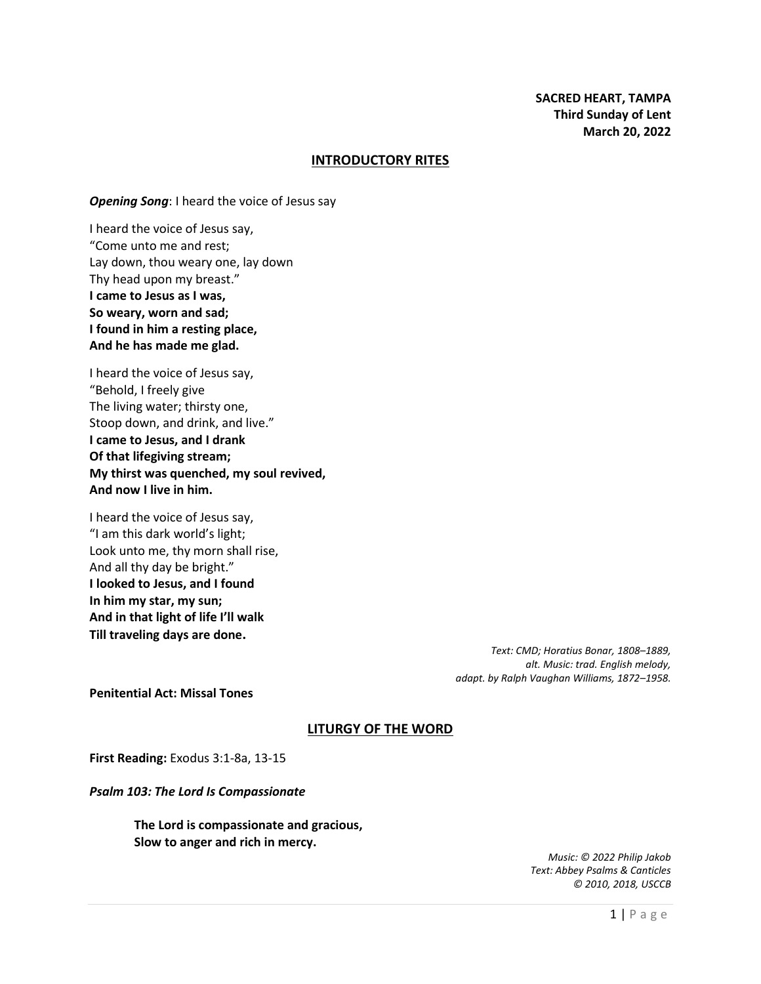## **INTRODUCTORY RITES**

*Opening Song*: I heard the voice of Jesus say

I heard the voice of Jesus say, "Come unto me and rest; Lay down, thou weary one, lay down Thy head upon my breast." **I came to Jesus as I was, So weary, worn and sad; I found in him a resting place, And he has made me glad.**

I heard the voice of Jesus say, "Behold, I freely give The living water; thirsty one, Stoop down, and drink, and live." **I came to Jesus, and I drank Of that lifegiving stream; My thirst was quenched, my soul revived, And now I live in him.**

I heard the voice of Jesus say, "I am this dark world's light; Look unto me, thy morn shall rise, And all thy day be bright." **I looked to Jesus, and I found In him my star, my sun; And in that light of life I'll walk Till traveling days are done.**

> *Text: CMD; Horatius Bonar, 1808–1889, alt. Music: trad. English melody, adapt. by Ralph Vaughan Williams, 1872–1958.*

**Penitential Act: Missal Tones**

## **LITURGY OF THE WORD**

**First Reading:** Exodus 3:1-8a, 13-15

*Psalm 103: The Lord Is Compassionate*

**The Lord is compassionate and gracious, Slow to anger and rich in mercy.**

> *Music: © 2022 Philip Jakob Text: Abbey Psalms & Canticles © 2010, 2018, USCCB*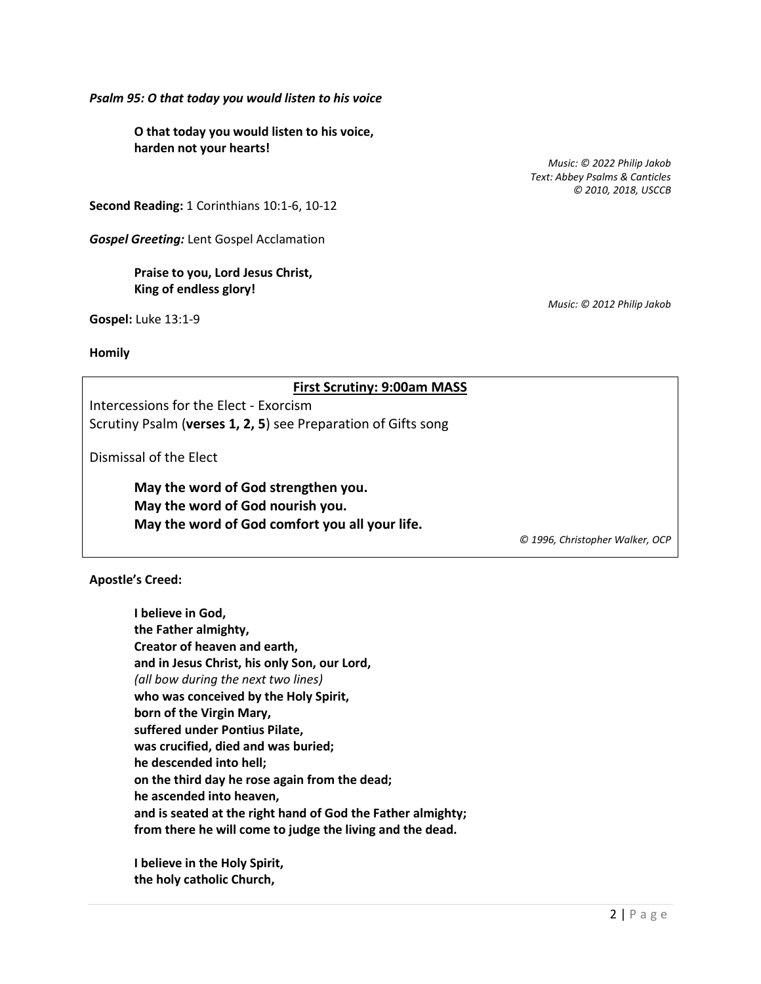*Psalm 95: O that today you would listen to his voice*

**O that today you would listen to his voice, harden not your hearts!**

**Second Reading:** 1 Corinthians 10:1-6, 10-12

*Gospel Greeting:* Lent Gospel Acclamation

# **Praise to you, Lord Jesus Christ, King of endless glory!**

**Gospel:** Luke 13:1-9

**Homily**

## **First Scrutiny: 9:00am MASS**

Intercessions for the Elect - Exorcism Scrutiny Psalm (**verses 1, 2, 5**) see Preparation of Gifts song

Dismissal of the Elect

**May the word of God strengthen you. May the word of God nourish you. May the word of God comfort you all your life.**

*© 1996, Christopher Walker, OCP*

**Apostle's Creed:**

**I believe in God, the Father almighty, Creator of heaven and earth, and in Jesus Christ, his only Son, our Lord,** *(all bow during the next two lines)* **who was conceived by the Holy Spirit, born of the Virgin Mary, suffered under Pontius Pilate, was crucified, died and was buried; he descended into hell; on the third day he rose again from the dead; he ascended into heaven, and is seated at the right hand of God the Father almighty; from there he will come to judge the living and the dead.**

**I believe in the Holy Spirit, the holy catholic Church,**

*Music: © 2022 Philip Jakob Text: Abbey Psalms & Canticles © 2010, 2018, USCCB*

*Music: © 2012 Philip Jakob*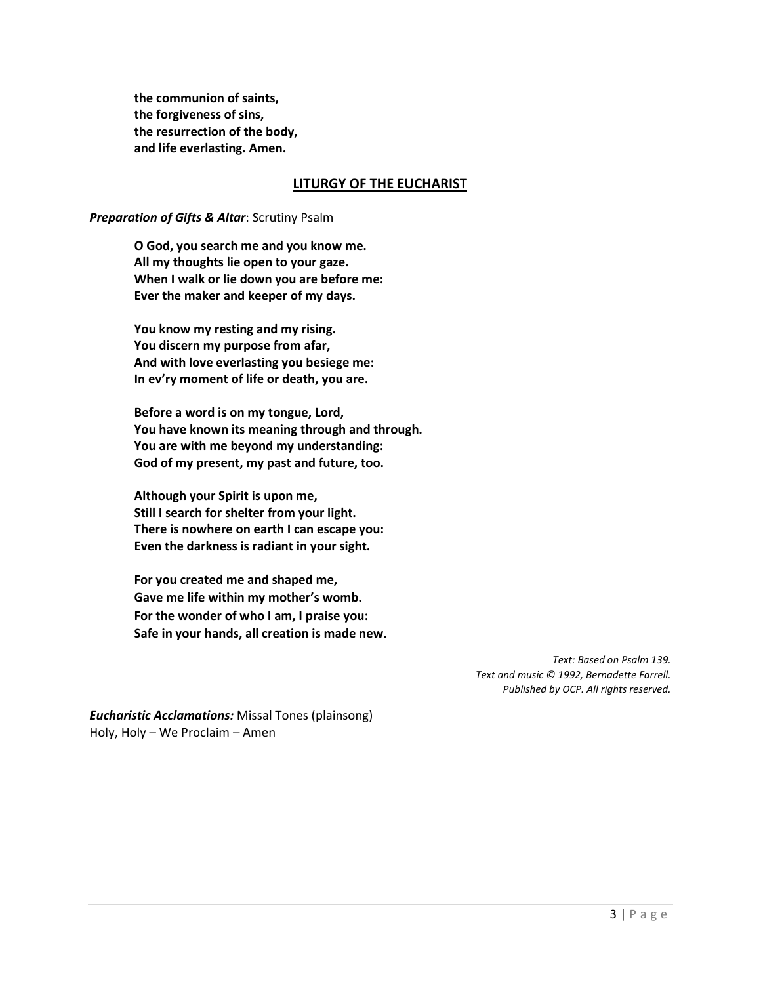**the communion of saints, the forgiveness of sins, the resurrection of the body, and life everlasting. Amen.**

## **LITURGY OF THE EUCHARIST**

## *Preparation of Gifts & Altar*: Scrutiny Psalm

**O God, you search me and you know me. All my thoughts lie open to your gaze. When I walk or lie down you are before me: Ever the maker and keeper of my days.**

**You know my resting and my rising. You discern my purpose from afar, And with love everlasting you besiege me: In ev'ry moment of life or death, you are.**

**Before a word is on my tongue, Lord, You have known its meaning through and through. You are with me beyond my understanding: God of my present, my past and future, too.**

**Although your Spirit is upon me, Still I search for shelter from your light. There is nowhere on earth I can escape you: Even the darkness is radiant in your sight.**

**For you created me and shaped me, Gave me life within my mother's womb. For the wonder of who I am, I praise you: Safe in your hands, all creation is made new.**

> *Text: Based on Psalm 139. Text and music © 1992, Bernadette Farrell. Published by OCP. All rights reserved.*

*Eucharistic Acclamations:* Missal Tones (plainsong) Holy, Holy – We Proclaim – Amen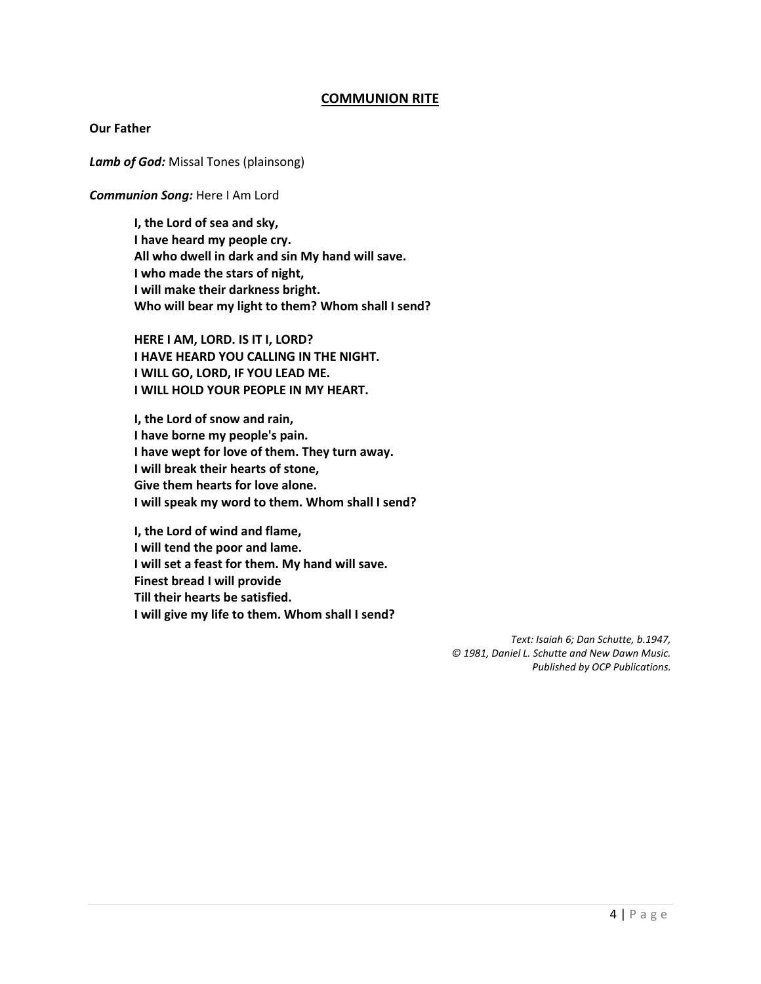# **COMMUNION RITE**

#### **Our Father**

*Lamb of God:* Missal Tones (plainsong)

#### *Communion Song:* Here I Am Lord

**I, the Lord of sea and sky, I have heard my people cry. All who dwell in dark and sin My hand will save. I who made the stars of night, I will make their darkness bright. Who will bear my light to them? Whom shall I send?**

**HERE I AM, LORD. IS IT I, LORD? I HAVE HEARD YOU CALLING IN THE NIGHT. I WILL GO, LORD, IF YOU LEAD ME. I WILL HOLD YOUR PEOPLE IN MY HEART.**

**I, the Lord of snow and rain, I have borne my people's pain. I have wept for love of them. They turn away. I will break their hearts of stone, Give them hearts for love alone. I will speak my word to them. Whom shall I send?**

**I, the Lord of wind and flame, I will tend the poor and lame. I will set a feast for them. My hand will save. Finest bread I will provide Till their hearts be satisfied. I will give my life to them. Whom shall I send?**

> *Text: Isaiah 6; Dan Schutte, b.1947, © 1981, Daniel L. Schutte and New Dawn Music. Published by OCP Publications.*